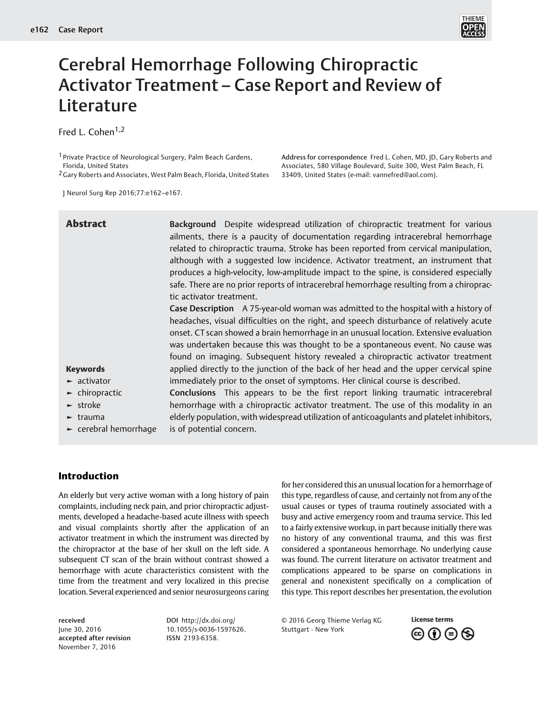

# Cerebral Hemorrhage Following Chiropractic Activator Treatment – Case Report and Review of Literature

Fred L. Cohen $1,2$ 

1 Private Practice of Neurological Surgery, Palm Beach Gardens, Florida, United States

2Gary Roberts and Associates, West Palm Beach, Florida, United States

J Neurol Surg Rep 2016;77:e162–e167.

Associates, 580 Village Boulevard, Suite 300, West Palm Beach, FL 33409, United States (e-mail: [vannefred@aol.com](mailto:vannefred@aol.com)).

Address for correspondence Fred L. Cohen, MD, JD, Gary Roberts and

| <b>Abstract</b>                           | Background Despite widespread utilization of chiropractic treatment for various<br>ailments, there is a paucity of documentation regarding intracerebral hemorrhage<br>related to chiropractic trauma. Stroke has been reported from cervical manipulation,<br>although with a suggested low incidence. Activator treatment, an instrument that<br>produces a high-velocity, low-amplitude impact to the spine, is considered especially<br>safe. There are no prior reports of intracerebral hemorrhage resulting from a chiroprac-<br>tic activator treatment.<br>Case Description A 75-year-old woman was admitted to the hospital with a history of<br>headaches, visual difficulties on the right, and speech disturbance of relatively acute<br>onset. CT scan showed a brain hemorrhage in an unusual location. Extensive evaluation<br>was undertaken because this was thought to be a spontaneous event. No cause was<br>found on imaging. Subsequent history revealed a chiropractic activator treatment |
|-------------------------------------------|--------------------------------------------------------------------------------------------------------------------------------------------------------------------------------------------------------------------------------------------------------------------------------------------------------------------------------------------------------------------------------------------------------------------------------------------------------------------------------------------------------------------------------------------------------------------------------------------------------------------------------------------------------------------------------------------------------------------------------------------------------------------------------------------------------------------------------------------------------------------------------------------------------------------------------------------------------------------------------------------------------------------|
| <b>Keywords</b>                           | applied directly to the junction of the back of her head and the upper cervical spine                                                                                                                                                                                                                                                                                                                                                                                                                                                                                                                                                                                                                                                                                                                                                                                                                                                                                                                              |
| $\blacktriangleright$ activator           | immediately prior to the onset of symptoms. Her clinical course is described.                                                                                                                                                                                                                                                                                                                                                                                                                                                                                                                                                                                                                                                                                                                                                                                                                                                                                                                                      |
| $\blacktriangleright$ chiropractic        | Conclusions This appears to be the first report linking traumatic intracerebral                                                                                                                                                                                                                                                                                                                                                                                                                                                                                                                                                                                                                                                                                                                                                                                                                                                                                                                                    |
| $\blacktriangleright$ stroke              | hemorrhage with a chiropractic activator treatment. The use of this modality in an                                                                                                                                                                                                                                                                                                                                                                                                                                                                                                                                                                                                                                                                                                                                                                                                                                                                                                                                 |
| $\blacktriangleright$ trauma              | elderly population, with widespread utilization of anticoagulants and platelet inhibitors,                                                                                                                                                                                                                                                                                                                                                                                                                                                                                                                                                                                                                                                                                                                                                                                                                                                                                                                         |
| $\blacktriangleright$ cerebral hemorrhage | is of potential concern.                                                                                                                                                                                                                                                                                                                                                                                                                                                                                                                                                                                                                                                                                                                                                                                                                                                                                                                                                                                           |

## Introduction

An elderly but very active woman with a long history of pain complaints, including neck pain, and prior chiropractic adjustments, developed a headache-based acute illness with speech and visual complaints shortly after the application of an activator treatment in which the instrument was directed by the chiropractor at the base of her skull on the left side. A subsequent CT scan of the brain without contrast showed a hemorrhage with acute characteristics consistent with the time from the treatment and very localized in this precise location. Several experienced and senior neurosurgeons caring

received June 30, 2016 accepted after revision November 7, 2016

DOI [http://dx.doi.org/](http://dx.doi.org/10.1055/s-0036-1597626) [10.1055/s-0036-1597626.](http://dx.doi.org/10.1055/s-0036-1597626) ISSN 2193-6358.

for her considered this an unusual location for a hemorrhage of this type, regardless of cause, and certainly not from any of the usual causes or types of trauma routinely associated with a busy and active emergency room and trauma service. This led to a fairly extensive workup, in part because initially there was no history of any conventional trauma, and this was first considered a spontaneous hemorrhage. No underlying cause was found. The current literature on activator treatment and complications appeared to be sparse on complications in general and nonexistent specifically on a complication of this type. This report describes her presentation, the evolution

© 2016 Georg Thieme Verlag KG Stuttgart · New York

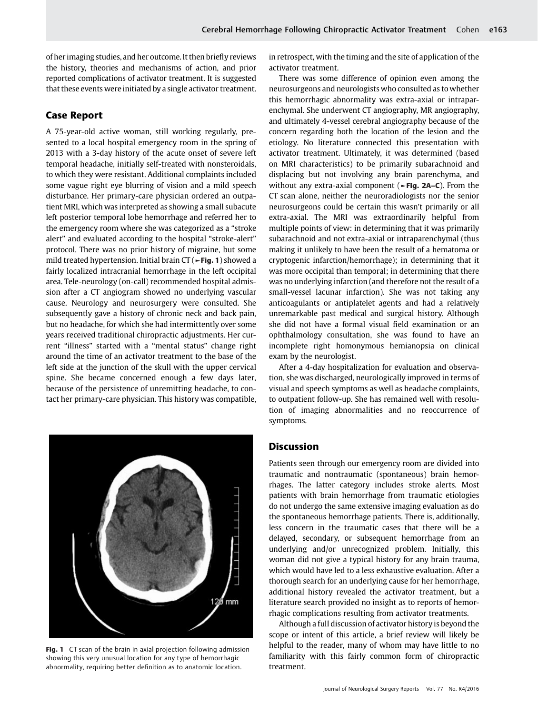of her imaging studies, and her outcome. It then briefly reviews the history, theories and mechanisms of action, and prior reported complications of activator treatment. It is suggested that these events were initiated by a single activator treatment.

## Case Report

A 75-year-old active woman, still working regularly, presented to a local hospital emergency room in the spring of 2013 with a 3-day history of the acute onset of severe left temporal headache, initially self-treated with nonsteroidals, to which they were resistant. Additional complaints included some vague right eye blurring of vision and a mild speech disturbance. Her primary-care physician ordered an outpatient MRI, which was interpreted as showing a small subacute left posterior temporal lobe hemorrhage and referred her to the emergency room where she was categorized as a "stroke alert" and evaluated according to the hospital "stroke-alert" protocol. There was no prior history of migraine, but some mild treated hypertension. Initial brain CT (►Fig. 1) showed a fairly localized intracranial hemorrhage in the left occipital area. Tele-neurology (on-call) recommended hospital admission after a CT angiogram showed no underlying vascular cause. Neurology and neurosurgery were consulted. She subsequently gave a history of chronic neck and back pain, but no headache, for which she had intermittently over some years received traditional chiropractic adjustments. Her current "illness" started with a "mental status" change right around the time of an activator treatment to the base of the left side at the junction of the skull with the upper cervical spine. She became concerned enough a few days later, because of the persistence of unremitting headache, to contact her primary-care physician. This history was compatible,



Fig. 1 CT scan of the brain in axial projection following admission showing this very unusual location for any type of hemorrhagic abnormality, requiring better definition as to anatomic location.

in retrospect, with the timing and the site of application of the activator treatment.

There was some difference of opinion even among the neurosurgeons and neurologists who consulted as to whether this hemorrhagic abnormality was extra-axial or intraparenchymal. She underwent CT angiography, MR angiography, and ultimately 4-vessel cerebral angiography because of the concern regarding both the location of the lesion and the etiology. No literature connected this presentation with activator treatment. Ultimately, it was determined (based on MRI characteristics) to be primarily subarachnoid and displacing but not involving any brain parenchyma, and without any extra-axial component (►Fig. 2A–C). From the CT scan alone, neither the neuroradiologists nor the senior neurosurgeons could be certain this wasn't primarily or all extra-axial. The MRI was extraordinarily helpful from multiple points of view: in determining that it was primarily subarachnoid and not extra-axial or intraparenchymal (thus making it unlikely to have been the result of a hematoma or cryptogenic infarction/hemorrhage); in determining that it was more occipital than temporal; in determining that there was no underlying infarction (and therefore not the result of a small-vessel lacunar infarction). She was not taking any anticoagulants or antiplatelet agents and had a relatively unremarkable past medical and surgical history. Although she did not have a formal visual field examination or an ophthalmology consultation, she was found to have an incomplete right homonymous hemianopsia on clinical exam by the neurologist.

After a 4-day hospitalization for evaluation and observation, she was discharged, neurologically improved in terms of visual and speech symptoms as well as headache complaints, to outpatient follow-up. She has remained well with resolution of imaging abnormalities and no reoccurrence of symptoms.

## **Discussion**

Patients seen through our emergency room are divided into traumatic and nontraumatic (spontaneous) brain hemorrhages. The latter category includes stroke alerts. Most patients with brain hemorrhage from traumatic etiologies do not undergo the same extensive imaging evaluation as do the spontaneous hemorrhage patients. There is, additionally, less concern in the traumatic cases that there will be a delayed, secondary, or subsequent hemorrhage from an underlying and/or unrecognized problem. Initially, this woman did not give a typical history for any brain trauma, which would have led to a less exhaustive evaluation. After a thorough search for an underlying cause for her hemorrhage, additional history revealed the activator treatment, but a literature search provided no insight as to reports of hemorrhagic complications resulting from activator treatments.

Although a full discussion of activator history is beyond the scope or intent of this article, a brief review will likely be helpful to the reader, many of whom may have little to no familiarity with this fairly common form of chiropractic treatment.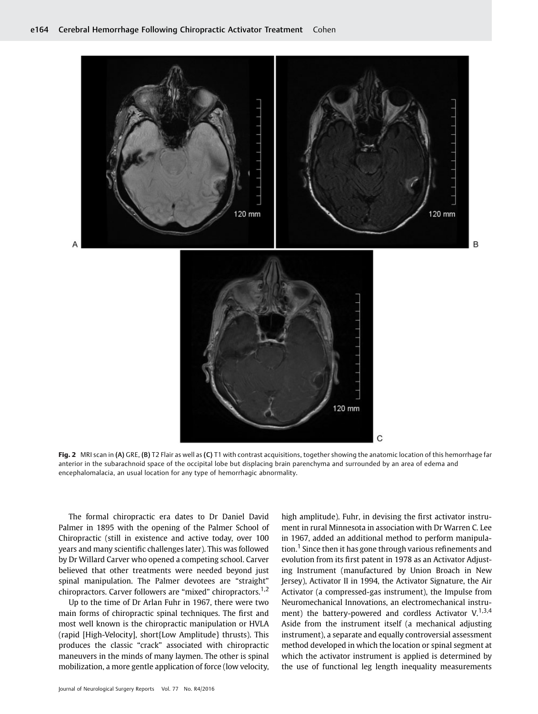

Fig. 2 MRI scan in (A) GRE, (B) T2 Flair as well as (C) T1 with contrast acquisitions, together showing the anatomic location of this hemorrhage far anterior in the subarachnoid space of the occipital lobe but displacing brain parenchyma and surrounded by an area of edema and encephalomalacia, an usual location for any type of hemorrhagic abnormality.

The formal chiropractic era dates to Dr Daniel David Palmer in 1895 with the opening of the Palmer School of Chiropractic (still in existence and active today, over 100 years and many scientific challenges later). This was followed by Dr Willard Carver who opened a competing school. Carver believed that other treatments were needed beyond just spinal manipulation. The Palmer devotees are "straight" chiropractors. Carver followers are "mixed" chiropractors.<sup>1,2</sup>

Up to the time of Dr Arlan Fuhr in 1967, there were two main forms of chiropractic spinal techniques. The first and most well known is the chiropractic manipulation or HVLA (rapid [High-Velocity], short{Low Amplitude} thrusts). This produces the classic "crack" associated with chiropractic maneuvers in the minds of many laymen. The other is spinal mobilization, a more gentle application of force (low velocity,

ment in rural Minnesota in association with Dr Warren C. Lee in 1967, added an additional method to perform manipula- $\tau$  tion.<sup>1</sup> Since then it has gone through various refinements and evolution from its first patent in 1978 as an Activator Adjusting Instrument (manufactured by Union Broach in New Jersey), Activator II in 1994, the Activator Signature, the Air Activator (a compressed-gas instrument), the Impulse from Neuromechanical Innovations, an electromechanical instrument) the battery-powered and cordless Activator V.<sup>1,3,4</sup> Aside from the instrument itself (a mechanical adjusting instrument), a separate and equally controversial assessment method developed in which the location or spinal segment at which the activator instrument is applied is determined by the use of functional leg length inequality measurements

high amplitude). Fuhr, in devising the first activator instru-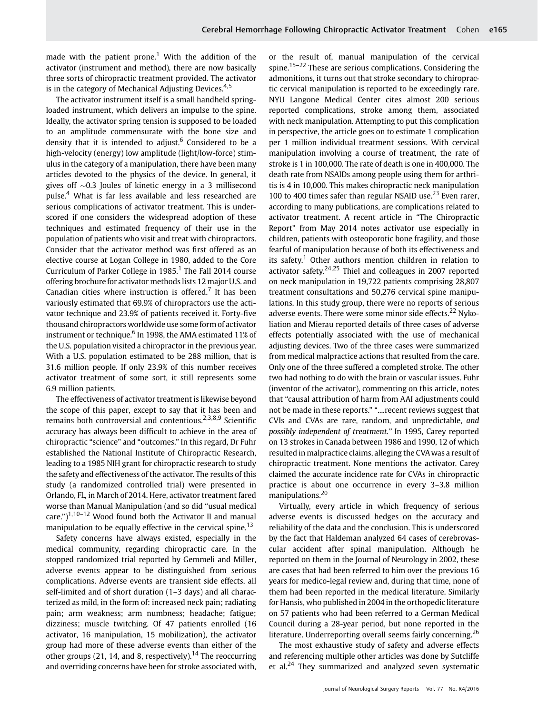made with the patient prone.<sup>1</sup> With the addition of the activator (instrument and method), there are now basically three sorts of chiropractic treatment provided. The activator is in the category of Mechanical Adjusting Devices. $4,5$ 

The activator instrument itself is a small handheld springloaded instrument, which delivers an impulse to the spine. Ideally, the activator spring tension is supposed to be loaded to an amplitude commensurate with the bone size and density that it is intended to adjust.<sup>6</sup> Considered to be a high-velocity (energy) low amplitude (light/low-force) stimulus in the category of a manipulation, there have been many articles devoted to the physics of the device. In general, it gives off  $\sim$ 0.3 Joules of kinetic energy in a 3 millisecond pulse.<sup>4</sup> What is far less available and less researched are serious complications of activator treatment. This is underscored if one considers the widespread adoption of these techniques and estimated frequency of their use in the population of patients who visit and treat with chiropractors. Consider that the activator method was first offered as an elective course at Logan College in 1980, added to the Core Curriculum of Parker College in  $1985$ .<sup>1</sup> The Fall 2014 course offering brochure for activator methods lists 12 major U.S. and Canadian cities where instruction is offered.<sup>7</sup> It has been variously estimated that 69.9% of chiropractors use the activator technique and 23.9% of patients received it. Forty-five thousand chiropractors worldwide use some form of activator instrument or technique. $6$  In 1998, the AMA estimated 11% of the U.S. population visited a chiropractor in the previous year. With a U.S. population estimated to be 288 million, that is 31.6 million people. If only 23.9% of this number receives activator treatment of some sort, it still represents some 6.9 million patients.

The effectiveness of activator treatment is likewise beyond the scope of this paper, except to say that it has been and remains both controversial and contentious.<sup>2,3,8,9</sup> Scientific accuracy has always been difficult to achieve in the area of chiropractic "science" and "outcomes." In this regard, Dr Fuhr established the National Institute of Chiropractic Research, leading to a 1985 NIH grant for chiropractic research to study the safety and effectiveness of the activator. The results of this study (a randomized controlled trial) were presented in Orlando, FL, in March of 2014. Here, activator treatment fared worse than Manual Manipulation (and so did "usual medical care.")<sup>1,10–12</sup> Wood found both the Activator II and manual manipulation to be equally effective in the cervical spine.<sup>13</sup>

Safety concerns have always existed, especially in the medical community, regarding chiropractic care. In the stopped randomized trial reported by Gemmeli and Miller, adverse events appear to be distinguished from serious complications. Adverse events are transient side effects, all self-limited and of short duration (1–3 days) and all characterized as mild, in the form of: increased neck pain; radiating pain; arm weakness; arm numbness; headache; fatigue; dizziness; muscle twitching. Of 47 patients enrolled (16 activator, 16 manipulation, 15 mobilization), the activator group had more of these adverse events than either of the other groups (21, 14, and 8, respectively).<sup>14</sup> The reoccurring and overriding concerns have been for stroke associated with, or the result of, manual manipulation of the cervical spine.<sup>15–22</sup> These are serious complications. Considering the admonitions, it turns out that stroke secondary to chiropractic cervical manipulation is reported to be exceedingly rare. NYU Langone Medical Center cites almost 200 serious reported complications, stroke among them, associated with neck manipulation. Attempting to put this complication in perspective, the article goes on to estimate 1 complication per 1 million individual treatment sessions. With cervical manipulation involving a course of treatment, the rate of stroke is 1 in 100,000. The rate of death is one in 400,000. The death rate from NSAIDs among people using them for arthritis is 4 in 10,000. This makes chiropractic neck manipulation 100 to 400 times safer than regular NSAID use. $^{23}$  Even rarer, according to many publications, are complications related to activator treatment. A recent article in "The Chiropractic Report" from May 2014 notes activator use especially in children, patients with osteoporotic bone fragility, and those fearful of manipulation because of both its effectiveness and its safety.<sup>1</sup> Other authors mention children in relation to activator safety.24,25 Thiel and colleagues in 2007 reported on neck manipulation in 19,722 patients comprising 28,807 treatment consultations and 50,276 cervical spine manipulations. In this study group, there were no reports of serious adverse events. There were some minor side effects.<sup>22</sup> Nykoliation and Mierau reported details of three cases of adverse effects potentially associated with the use of mechanical adjusting devices. Two of the three cases were summarized from medical malpractice actions that resulted from the care. Only one of the three suffered a completed stroke. The other two had nothing to do with the brain or vascular issues. Fuhr (inventor of the activator), commenting on this article, notes that "causal attribution of harm from AAI adjustments could not be made in these reports." "....recent reviews suggest that CVIs and CVAs are rare, random, and unpredictable, and possibly independent of treatment." In 1995, Carey reported on 13 strokes in Canada between 1986 and 1990, 12 of which resulted in malpractice claims, alleging the CVAwas a result of chiropractic treatment. None mentions the activator. Carey claimed the accurate incidence rate for CVAs in chiropractic practice is about one occurrence in every 3–3.8 million manipulations.<sup>20</sup>

Virtually, every article in which frequency of serious adverse events is discussed hedges on the accuracy and reliability of the data and the conclusion. This is underscored by the fact that Haldeman analyzed 64 cases of cerebrovascular accident after spinal manipulation. Although he reported on them in the Journal of Neurology in 2002, these are cases that had been referred to him over the previous 16 years for medico-legal review and, during that time, none of them had been reported in the medical literature. Similarly for Hansis, who published in 2004 in the orthopedic literature on 57 patients who had been referred to a German Medical Council during a 28-year period, but none reported in the literature. Underreporting overall seems fairly concerning.<sup>26</sup>

The most exhaustive study of safety and adverse effects and referencing multiple other articles was done by Sutcliffe et al. $24$  They summarized and analyzed seven systematic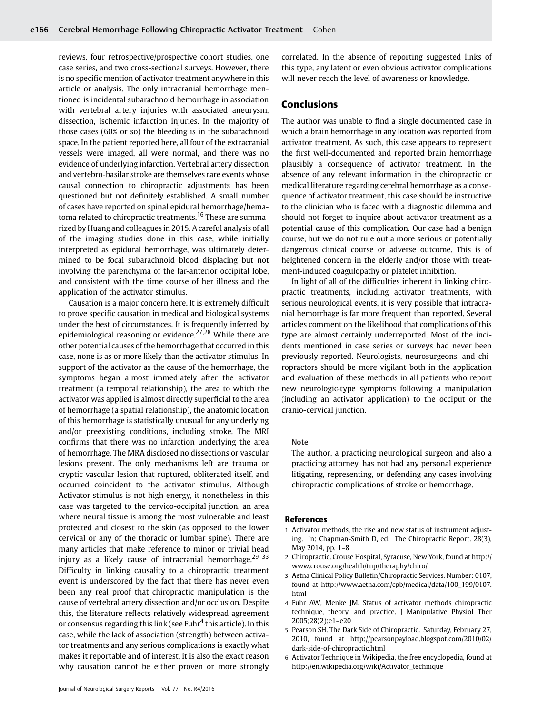reviews, four retrospective/prospective cohort studies, one case series, and two cross-sectional surveys. However, there is no specific mention of activator treatment anywhere in this article or analysis. The only intracranial hemorrhage mentioned is incidental subarachnoid hemorrhage in association with vertebral artery injuries with associated aneurysm, dissection, ischemic infarction injuries. In the majority of those cases (60% or so) the bleeding is in the subarachnoid space. In the patient reported here, all four of the extracranial vessels were imaged, all were normal, and there was no evidence of underlying infarction. Vertebral artery dissection and vertebro-basilar stroke are themselves rare events whose causal connection to chiropractic adjustments has been questioned but not definitely established. A small number of cases have reported on spinal epidural hemorrhage/hematoma related to chiropractic treatments.<sup>16</sup> These are summarized by Huang and colleagues in 2015. A careful analysis of all of the imaging studies done in this case, while initially interpreted as epidural hemorrhage, was ultimately determined to be focal subarachnoid blood displacing but not involving the parenchyma of the far-anterior occipital lobe, and consistent with the time course of her illness and the application of the activator stimulus.

Causation is a major concern here. It is extremely difficult to prove specific causation in medical and biological systems under the best of circumstances. It is frequently inferred by epidemiological reasoning or evidence.<sup>27,28</sup> While there are other potential causes of the hemorrhage that occurred in this case, none is as or more likely than the activator stimulus. In support of the activator as the cause of the hemorrhage, the symptoms began almost immediately after the activator treatment (a temporal relationship), the area to which the activator was applied is almost directly superficial to the area of hemorrhage (a spatial relationship), the anatomic location of this hemorrhage is statistically unusual for any underlying and/or preexisting conditions, including stroke. The MRI confirms that there was no infarction underlying the area of hemorrhage. The MRA disclosed no dissections or vascular lesions present. The only mechanisms left are trauma or cryptic vascular lesion that ruptured, obliterated itself, and occurred coincident to the activator stimulus. Although Activator stimulus is not high energy, it nonetheless in this case was targeted to the cervico-occipital junction, an area where neural tissue is among the most vulnerable and least protected and closest to the skin (as opposed to the lower cervical or any of the thoracic or lumbar spine). There are many articles that make reference to minor or trivial head injury as a likely cause of intracranial hemorrhage. $29-33$ Difficulty in linking causality to a chiropractic treatment event is underscored by the fact that there has never even been any real proof that chiropractic manipulation is the cause of vertebral artery dissection and/or occlusion. Despite this, the literature reflects relatively widespread agreement or consensus regarding this link (see Fuhr $<sup>4</sup>$  this article). In this</sup> case, while the lack of association (strength) between activator treatments and any serious complications is exactly what makes it reportable and of interest, it is also the exact reason why causation cannot be either proven or more strongly

correlated. In the absence of reporting suggested links of this type, any latent or even obvious activator complications will never reach the level of awareness or knowledge.

#### Conclusions

The author was unable to find a single documented case in which a brain hemorrhage in any location was reported from activator treatment. As such, this case appears to represent the first well-documented and reported brain hemorrhage plausibly a consequence of activator treatment. In the absence of any relevant information in the chiropractic or medical literature regarding cerebral hemorrhage as a consequence of activator treatment, this case should be instructive to the clinician who is faced with a diagnostic dilemma and should not forget to inquire about activator treatment as a potential cause of this complication. Our case had a benign course, but we do not rule out a more serious or potentially dangerous clinical course or adverse outcome. This is of heightened concern in the elderly and/or those with treatment-induced coagulopathy or platelet inhibition.

In light of all of the difficulties inherent in linking chiropractic treatments, including activator treatments, with serious neurological events, it is very possible that intracranial hemorrhage is far more frequent than reported. Several articles comment on the likelihood that complications of this type are almost certainly underreported. Most of the incidents mentioned in case series or surveys had never been previously reported. Neurologists, neurosurgeons, and chiropractors should be more vigilant both in the application and evaluation of these methods in all patients who report new neurologic-type symptoms following a manipulation (including an activator application) to the occiput or the cranio-cervical junction.

#### Note

The author, a practicing neurological surgeon and also a practicing attorney, has not had any personal experience litigating, representing, or defending any cases involving chiropractic complications of stroke or hemorrhage.

#### **References**

- 1 Activator methods, the rise and new status of instrument adjusting. In: Chapman-Smith D, ed. The Chiropractic Report. 28(3), May 2014, pp. 1–8
- 2 Chiropractic. Crouse Hospital, Syracuse, New York, found at [http://](http://www.crouse.org/health/tnp/theraphy/chiro/) [www.crouse.org/health/tnp/theraphy/chiro/](http://www.crouse.org/health/tnp/theraphy/chiro/)
- 3 Aetna Clinical Policy Bulletin/Chiropractic Services. Number: 0107, found at [http://www.aetna.com/cpb/medical/data/100\\_199/0107.](http://www.aetna.com/cpb/medical/data/100_199/0107.html) [html](http://www.aetna.com/cpb/medical/data/100_199/0107.html)
- 4 Fuhr AW, Menke JM. Status of activator methods chiropractic technique, theory, and practice. J Manipulative Physiol Ther 2005;28(2):e1–e20
- 5 Pearson SH. The Dark Side of Chiropractic. Saturday, February 27, 2010, found at [http://pearsonpayload.blogspot.com/2010/02/](http://pearsonpayload.blogspot.com/2010/02/dark-side-of-chiropractic.html) [dark-side-of-chiropractic.html](http://pearsonpayload.blogspot.com/2010/02/dark-side-of-chiropractic.html)
- 6 Activator Technique in Wikipedia, the free encyclopedia, found at [http://en.wikipedia.org/wiki/Activator\\_technique](http://en.wikipedia.org/wiki/Activator_technique)